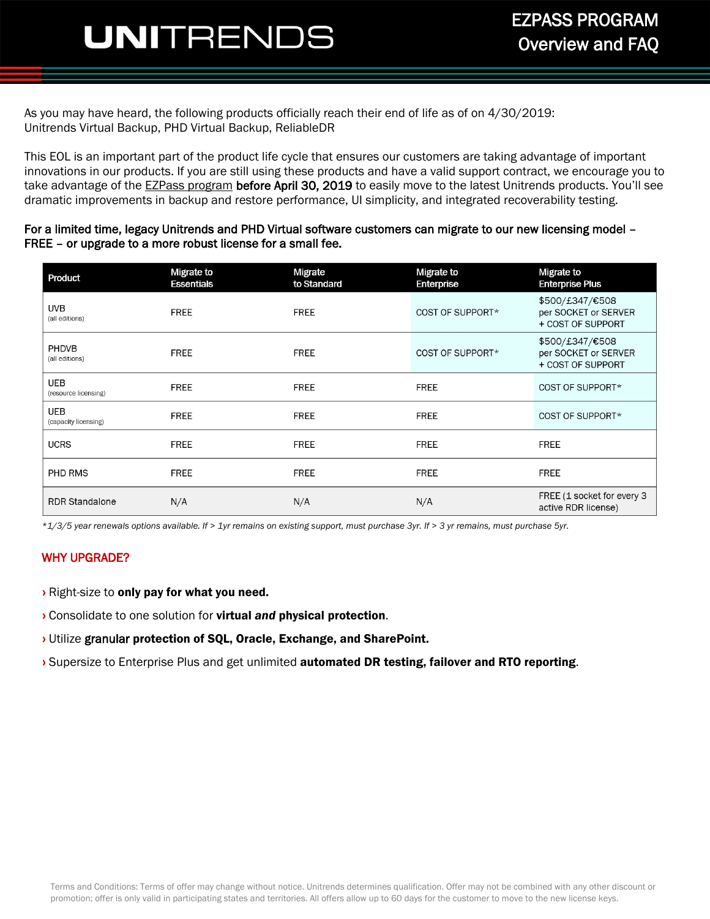## **JNI**TRENDS Overview and FAQ

As you may have heard, the following products officially reach their end of life as of on 4/30/2019: Unitrends Virtual Backup, PHD Virtual Backup, ReliableDR

This EOL is an important part of the product life cycle that ensures our customers are taking advantage of important innovations in our products. If you are still using these products and have a valid support contract, we encourage you to take advantage of the [EZPass program](http://go2.unitrends.com/2015-EZPASS) before April 30, 2019 to easily move to the latest Unitrends products. You'll see dramatic improvements in backup and restore performance, UI simplicity, and integrated recoverability testing.

#### For a limited time, legacy Unitrends and PHD Virtual software customers can migrate to our new licensing model – FREE – or upgrade to a more robust license for a small fee.

| Product                        | Migrate to<br><b>Essentials</b> | Migrate<br>to Standard | Migrate to<br>Enterprise | Migrate to<br><b>Enterprise Plus</b>                         |  |
|--------------------------------|---------------------------------|------------------------|--------------------------|--------------------------------------------------------------|--|
| <b>UVB</b><br>(all editions)   | <b>FREE</b>                     | <b>FREE</b>            | COST OF SUPPORT*         | \$500/£347/€508<br>per SOCKET or SERVER<br>+ COST OF SUPPORT |  |
| <b>PHDVB</b><br>(all editions) | <b>FREE</b>                     | <b>FREE</b>            | COST OF SUPPORT*         | \$500/£347/€508<br>per SOCKET or SERVER<br>+ COST OF SUPPORT |  |
| UEB<br>(resource licensing)    | <b>FREE</b>                     | <b>FREE</b>            | <b>FREE</b>              | COST OF SUPPORT*                                             |  |
| UEB<br>(capacity licensing)    | <b>FREE</b>                     | <b>FREE</b>            | <b>FREE</b>              | COST OF SUPPORT*                                             |  |
| <b>UCRS</b>                    | <b>FREE</b>                     | <b>FREE</b>            | <b>FREE</b>              | <b>FREE</b>                                                  |  |
| PHD RMS                        | <b>FREE</b>                     | <b>FREE</b>            | <b>FREE</b>              | <b>FREE</b>                                                  |  |
| <b>RDR Standalone</b>          | N/A                             | N/A                    | N/A                      | FREE (1 socket for every 3<br>active RDR license)            |  |

*\*1/3/5 year renewals options available. If > 1yr remains on existing support, must purchase 3yr. If > 3 yr remains, must purchase 5yr.*

#### WHY UPGRADE?

- **›** Right-size to only pay for what you need.
- **›** Consolidate to one solution for virtual *and* physical protection.
- **›** Utilize granular protection of SQL, Oracle, Exchange, and SharePoint.
- **›** Supersize to Enterprise Plus and get unlimited automated DR testing, failover and RTO reporting.